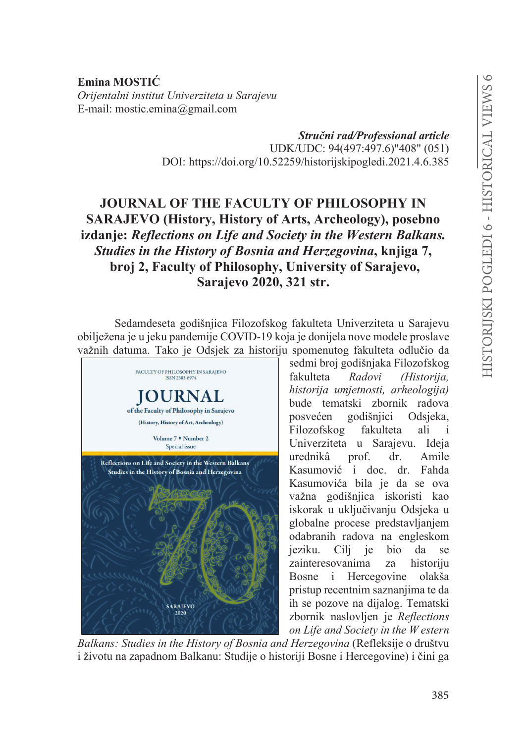Emina MOSTIĆ Orijentalni institut Univerziteta u Sarajevu E-mail: mostic.emina@gmail.com

> Stručni rad/Professional article UDK/UDC: 94(497:497.6)"408" (051) DOI: https://doi.org/10.52259/historijskipogledi.2021.4.6.385

## **JOURNAL OF THE FACULTY OF PHILOSOPHY IN SARAJEVO (History, History of Arts, Archeology), posebno** izdanje: Reflections on Life and Society in the Western Balkans. Studies in the History of Bosnia and Herzegovina, knjiga 7, broj 2, Faculty of Philosophy, University of Sarajevo, Sarajevo 2020, 321 str.

Sedamdeseta godišnjica Filozofskog fakulteta Univerziteta u Sarajevu obilježena je u jeku pandemije COVID-19 koja je donijela nove modele proslave važnih datuma. Tako je Odsjek za historiju spomenutog fakulteta odlučio da



sedmi broj godišnjaka Filozofskog fakulteta Radovi (Historija, historija umjetnosti, arheologija) bude tematski zbornik radova godišnjici posvećen Odsieka. Filozofskog fakulteta ali  $\mathbf{i}$ Univerziteta u Sarajevu. Ideja urednikâ prof. Amile dr. Kasumović i doc. dr. Fahda Kasumovića bila je da se ova važna godišnjica iskoristi kao iskorak u uključivanju Odsjeka u globalne procese predstavljanjem odabranih radova na engleskom bio da ieziku. Cili ie se zainteresovanima historiju za Bosne i Hercegovine olakša pristup recentnim saznanjima te da ih se pozove na dijalog. Tematski zbornik naslovljen je Reflections on Life and Society in the W estern

Balkans: Studies in the History of Bosnia and Herzegovina (Refleksije o društvu i životu na zapadnom Balkanu: Studije o historiji Bosne i Hercegovine) i čini ga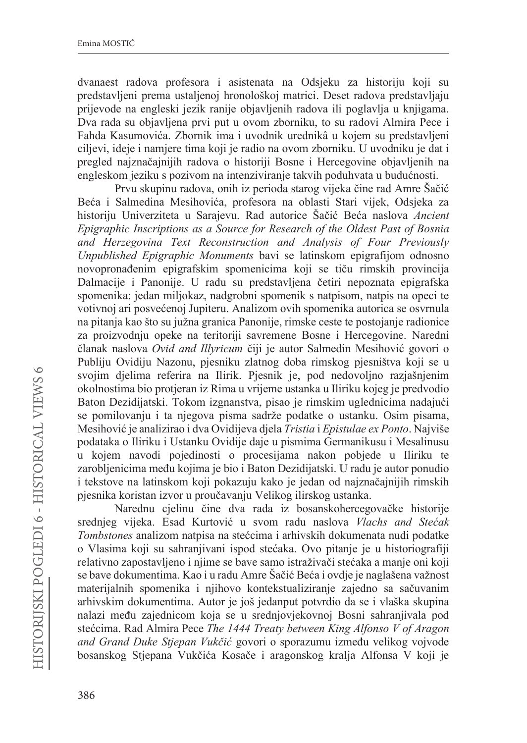dvanaest radova profesora i asistenata na Odsjeku za historiju koji su predstavljeni prema ustaljenoj hronološkoj matrici. Deset radova predstavljaju prijevode na engleski jezik ranije objavljenih radova ili poglavlja u knjigama. Dva rada su objavljena prvi put u ovom zborniku, to su radovi Almira Pece i Fahda Kasumovića. Zbornik ima i uvodnik urednikâ u kojem su predstavljeni ciljevi, ideje i namjere tima koji je radio na ovom zborniku. U uvodniku je dat i pregled najznačajnijih radova o historiji Bosne i Hercegovine objavljenih na engleskom jeziku s pozivom na intenziviranje takvih poduhvata u budućnosti.

Prvu skupinu radova, onih iz perioda starog vijeka čine rad Amre Šačić Beća i Salmedina Mesihovića, profesora na oblasti Stari vijek, Odsjeka za historiju Univerziteta u Sarajevu. Rad autorice Šačić Beća naslova Ancient Epigraphic Inscriptions as a Source for Research of the Oldest Past of Bosnia and Herzegovina Text Reconstruction and Analysis of Four Previously Unpublished Epigraphic Monuments bavi se latinskom epigrafijom odnosno novopronađenim epigrafskim spomenicima koji se tiču rimskih provincija Dalmacije i Panonije. U radu su predstavljena četiri nepoznata epigrafska spomenika: jedan miljokaz, nadgrobni spomenik s natpisom, natpis na opeci te votivnoj ari posvećenoj Jupiteru. Analizom ovih spomenika autorica se osvrnula na pitanja kao što su južna granica Panonije, rimske ceste te postojanje radionice za proizvodnju opeke na teritoriji savremene Bosne i Hercegovine. Naredni članak naslova Ovid and Illyricum čiji je autor Salmedin Mesihović govori o Publiju Ovidiju Nazonu, pjesniku zlatnog doba rimskog pjesništva koji se u svojim djelima referira na Ilirik. Pjesnik je, pod nedovoljno razjašnjenim okolnostima bio protjeran iz Rima u vrijeme ustanka u Iliriku kojeg je predvodio Baton Dezidijatski. Tokom izgnanstva, pisao je rimskim uglednicima nadajući se pomilovanju i ta njegova pisma sadrže podatke o ustanku. Osim pisama, Mesihović je analizirao i dva Ovidijeva djela Tristia i Epistulae ex Ponto. Najviše podataka o Iliriku i Ustanku Ovidije daje u pismima Germanikusu i Mesalinusu u kojem navodi pojedinosti o procesijama nakon pobjede u Iliriku te zarobljenicima među kojima je bio i Baton Dezidijatski. U radu je autor ponudio i tekstove na latinskom koji pokazuju kako je jedan od najznačajnijih rimskih pjesnika koristan izvor u proučavanju Velikog ilirskog ustanka.

Narednu cjelinu čine dva rada iz bosanskohercegovačke historije srednjeg vijeka. Esad Kurtović u svom radu naslova Vlachs and Stećak Tombstones analizom natpisa na stećcima i arhivskih dokumenata nudi podatke o Vlasima koji su sahranjivani ispod stećaka. Ovo pitanje je u historiografiji relativno zapostavljeno i njime se bave samo istraživači stećaka a manje oni koji se bave dokumentima. Kao i u radu Amre Šačić Beća i ovdje je naglašena važnost materijalnih spomenika i njihovo kontekstualiziranje zajedno sa sačuvanim arhivskim dokumentima. Autor je još jedanput potvrdio da se i vlaška skupina nalazi među zajednicom koja se u srednjovjekovnoj Bosni sahranjivala pod stećcima. Rad Almira Pece The 1444 Treaty between King Alfonso V of Aragon and Grand Duke Stjepan Vukčić govori o sporazumu između velikog vojvode bosanskog Stjepana Vukčića Kosače i aragonskog kralja Alfonsa V koji je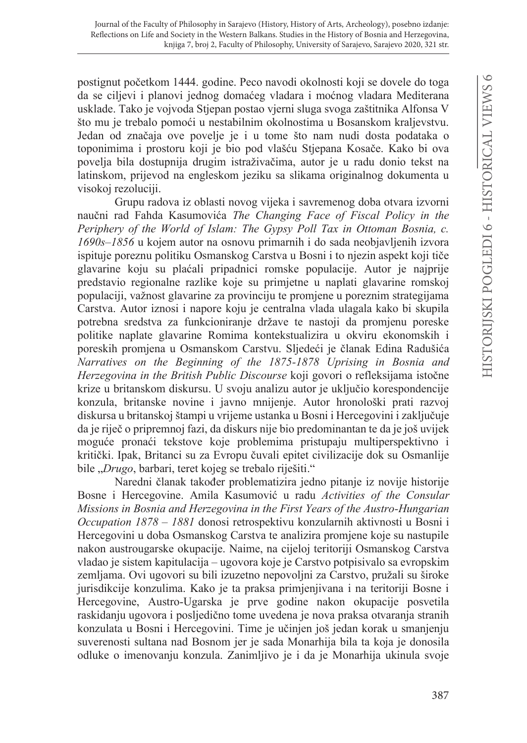postignut početkom 1444. godine. Peco navodi okolnosti koji se dovele do toga da se ciljevi i planovi jednog domaćeg vladara i moćnog vladara Mediterana usklade. Tako je vojvoda Stjepan postao vjerni sluga svoga zaštitnika Alfonsa V što mu je trebalo pomoći u nestabilnim okolnostima u Bosanskom kraljevstvu. Jedan od značaja ove povelje je i u tome što nam nudi dosta podataka o toponimima i prostoru koji je bio pod vlašću Stjepana Kosače. Kako bi ova povelja bila dostupnija drugim istraživačima, autor je u radu donio tekst na latinskom, prijevod na engleskom jeziku sa slikama originalnog dokumenta u visokoj rezoluciji.

Grupu radova iz oblasti novog vijeka i savremenog doba otvara izvorni naučni rad Fahda Kasumovića The Changing Face of Fiscal Policy in the Periphery of the World of Islam: The Gypsy Poll Tax in Ottoman Bosnia, c.  $1690s - 1856$  u kojem autor na osnovu primarnih i do sada neobjavljenih izvora ispituje poreznu politiku Osmanskog Carstva u Bosni i to njezin aspekt koji tiče glavarine koju su plaćali pripadnici romske populacije. Autor je najprije predstavio regionalne razlike koje su primietne u naplati glavarine romskoj populaciji, važnost glavarine za provinciju te promjene u poreznim strategijama Carstva. Autor iznosi i napore koju je centralna vlada ulagala kako bi skupila potrebna sredstva za funkcioniranje države te nastoji da promjenu poreske politike naplate glavarine Romima kontekstualizira u okviru ekonomskih i poreskih promjena u Osmanskom Carstvu. Sljedeći je članak Edina Radušića Narratives on the Beginning of the 1875-1878 Uprising in Bosnia and Herzegovina in the British Public Discourse koji govori o refleksijama istočne krize u britanskom diskursu. U svoju analizu autor je uključio korespondencije konzula, britanske novine i javno mnijenje. Autor hronološki prati razvoj diskursa u britanskoj štampi u vrijeme ustanka u Bosni i Hercegovini i zaključuje da je riječ o pripremnoj fazi, da diskurs nije bio predominantan te da je još uvijek moguće pronaći tekstove koje problemima pristupaju multiperspektivno i kritički. Ipak, Britanci su za Evropu čuvali epitet civilizacije dok su Osmanlije bile "Drugo, barbari, teret kojeg se trebalo riješiti."

Naredni članak također problematizira jedno pitanje iz novije historije Bosne i Hercegovine. Amila Kasumović u radu Activities of the Consular Missions in Bosnia and Herzegovina in the First Years of the Austro-Hungarian Occupation 1878 – 1881 donosi retrospektivu konzularnih aktivnosti u Bosni i Hercegovini u doba Osmanskog Carstva te analizira promjene koje su nastupile nakon austrougarske okupacije. Naime, na cijeloj teritoriji Osmanskog Carstva vladao je sistem kapitulacija – ugovora koje je Carstvo potpisivalo sa evropskim zemljama. Ovi ugovori su bili izuzetno nepovoljni za Carstvo, pružali su široke jurisdikcije konzulima. Kako je ta praksa primjenjivana i na teritoriji Bosne i Hercegovine, Austro-Ugarska je prve godine nakon okupacije posvetila raskidanju ugovora i posljedično tome uvedena je nova praksa otvaranja stranih konzulata u Bosni i Hercegovini. Time je učinjen još jedan korak u smanjenju suverenosti sultana nad Bosnom jer je sada Monarhija bila ta koja je donosila odluke o imenovanju konzula. Zanimljivo je i da je Monarhija ukinula svoje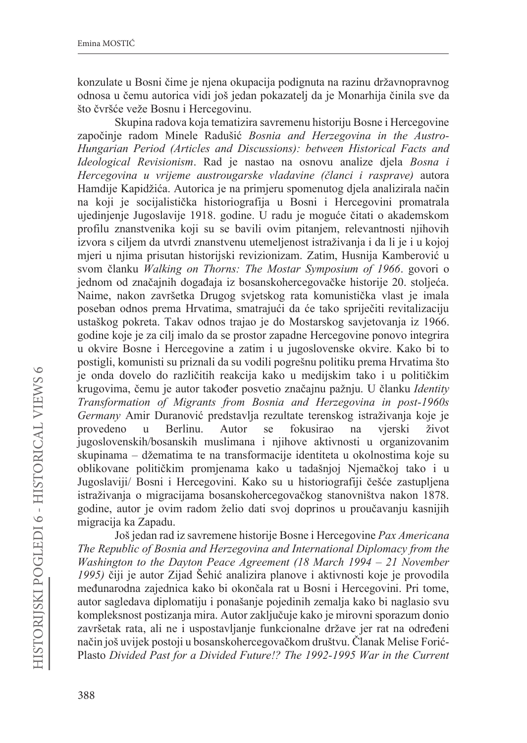konzulate u Bosni čime je njena okupacija podignuta na razinu državnopravnog odnosa u čemu autorica vidi još jedan pokazatelj da je Monarhija činila sve da što čvršće veže Bosnu i Hercegovinu.

Skupina radova koja tematizira savremenu historiju Bosne i Hercegovine započinje radom Minele Radušić Bosnia and Herzegovina in the Austro-Hungarian Period (Articles and Discussions): between Historical Facts and Ideological Revisionism. Rad je nastao na osnovu analize djela Bosna i Hercegovina u vrijeme austrougarske vladavine (članci i rasprave) autora Hamdije Kapidžića. Autorica je na primjeru spomenutog djela analizirala način na koji je socijalistička historiografija u Bosni i Hercegovini promatrala ujedinjenje Jugoslavije 1918. godine. U radu je moguće čitati o akademskom profilu znanstvenika koji su se bavili ovim pitanjem, relevantnosti njihovih izvora s ciljem da utvrdi znanstvenu utemeljenost istraživanja i da li je i u kojoj mjeri u njima prisutan historijski revizionizam. Zatim, Husnija Kamberović u svom članku Walking on Thorns: The Mostar Symposium of 1966. govori o jednom od značajnih događaja iz bosanskohercegovačke historije 20. stoljeća. Naime, nakon završetka Drugog svjetskog rata komunistička vlast je imala poseban odnos prema Hrvatima, smatrajući da će tako spriječiti revitalizaciju ustaškog pokreta. Takav odnos trajao je do Mostarskog savjetovanja iz 1966. godine koje je za cilj imalo da se prostor zapadne Hercegovine ponovo integrira u okvire Bosne i Hercegovine a zatim i u jugoslovenske okvire. Kako bi to postigli, komunisti su priznali da su vodili pogrešnu politiku prema Hrvatima što je onda dovelo do različitih reakcija kako u medijskim tako i u političkim krugovima, čemu je autor također posvetio značajnu pažnju. U članku Identity Transformation of Migrants from Bosnia and Herzegovina in post-1960s Germany Amir Duranović predstavlja rezultate terenskog istraživanja koje je provedeno Berlinu. Autor se fokusirao na vierski  $\mathbf{u}$ život jugoslovenskih/bosanskih muslimana i njihove aktivnosti u organizovanim skupinama – džematima te na transformacije identiteta u okolnostima koje su oblikovane političkim promjenama kako u tadašnjoj Njemačkoj tako i u Jugoslaviji/ Bosni i Hercegovini. Kako su u historiografiji češće zastupljena istraživanja o migracijama bosanskohercegovačkog stanovništva nakon 1878. godine, autor je ovim radom želio dati svoj doprinos u proučavanju kasnijih migracija ka Zapadu.

Još jedan rad iz savremene historije Bosne i Hercegovine Pax Americana The Republic of Bosnia and Herzegovina and International Diplomacy from the Washington to the Dayton Peace Agreement (18 March 1994 – 21 November 1995) čiji je autor Zijad Šehić analizira planove i aktivnosti koje je provodila međunarodna zajednica kako bi okončala rat u Bosni i Hercegovini. Pri tome, autor sagledava diplomatiju i ponašanje pojedinih zemalja kako bi naglasio svu kompleksnost postizanja mira. Autor zaključuje kako je mirovni sporazum donio završetak rata, ali ne i uspostavljanje funkcionalne države jer rat na određeni način još uvijek postoji u bosanskohercegovačkom društvu. Članak Melise Forić-Plasto Divided Past for a Divided Future!? The 1992-1995 War in the Current